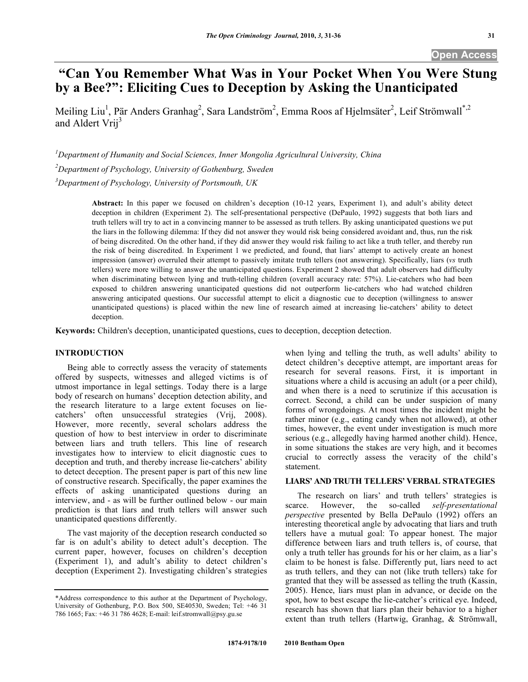# **"Can You Remember What Was in Your Pocket When You Were Stung by a Bee?": Eliciting Cues to Deception by Asking the Unanticipated**

Meiling Liu<sup>1</sup>, Pär Anders Granhag<sup>2</sup>, Sara Landström<sup>2</sup>, Emma Roos af Hjelmsäter<sup>2</sup>, Leif Strömwall<sup>\*,2</sup> and Aldert Vrij<sup>3</sup>

*1 Department of Humanity and Social Sciences, Inner Mongolia Agricultural University, China* 

*2 Department of Psychology, University of Gothenburg, Sweden* 

*3 Department of Psychology, University of Portsmouth, UK* 

**Abstract:** In this paper we focused on children's deception (10-12 years, Experiment 1), and adult's ability detect deception in children (Experiment 2). The self-presentational perspective (DePaulo, 1992) suggests that both liars and truth tellers will try to act in a convincing manner to be assessed as truth tellers. By asking unanticipated questions we put the liars in the following dilemma: If they did not answer they would risk being considered avoidant and, thus, run the risk of being discredited. On the other hand, if they did answer they would risk failing to act like a truth teller, and thereby run the risk of being discredited. In Experiment 1 we predicted, and found, that liars' attempt to actively create an honest impression (answer) overruled their attempt to passively imitate truth tellers (not answering). Specifically, liars (*vs* truth tellers) were more willing to answer the unanticipated questions. Experiment 2 showed that adult observers had difficulty when discriminating between lying and truth-telling children (overall accuracy rate: 57%). Lie-catchers who had been exposed to children answering unanticipated questions did not outperform lie-catchers who had watched children answering anticipated questions. Our successful attempt to elicit a diagnostic cue to deception (willingness to answer unanticipated questions) is placed within the new line of research aimed at increasing lie-catchers' ability to detect deception.

**Keywords:** Children's deception, unanticipated questions, cues to deception, deception detection.

# **INTRODUCTION**

 Being able to correctly assess the veracity of statements offered by suspects, witnesses and alleged victims is of utmost importance in legal settings. Today there is a large body of research on humans' deception detection ability, and the research literature to a large extent focuses on liecatchers' often unsuccessful strategies (Vrij, 2008). However, more recently, several scholars address the question of how to best interview in order to discriminate between liars and truth tellers. This line of research investigates how to interview to elicit diagnostic cues to deception and truth, and thereby increase lie-catchers' ability to detect deception. The present paper is part of this new line of constructive research. Specifically, the paper examines the effects of asking unanticipated questions during an interview, and - as will be further outlined below - our main prediction is that liars and truth tellers will answer such unanticipated questions differently.

 The vast majority of the deception research conducted so far is on adult's ability to detect adult's deception. The current paper, however, focuses on children's deception (Experiment 1), and adult's ability to detect children's deception (Experiment 2). Investigating children's strategies

when lying and telling the truth, as well adults' ability to detect children's deceptive attempt, are important areas for research for several reasons. First, it is important in situations where a child is accusing an adult (or a peer child), and when there is a need to scrutinize if this accusation is correct. Second, a child can be under suspicion of many forms of wrongdoings. At most times the incident might be rather minor (e.g., eating candy when not allowed), at other times, however, the event under investigation is much more serious (e.g., allegedly having harmed another child). Hence, in some situations the stakes are very high, and it becomes crucial to correctly assess the veracity of the child's statement.

## **LIARS' AND TRUTH TELLERS' VERBAL STRATEGIES**

 The research on liars' and truth tellers' strategies is scarce. However, the so-called *self-presentational perspective* presented by Bella DePaulo (1992) offers an interesting theoretical angle by advocating that liars and truth tellers have a mutual goal: To appear honest. The major difference between liars and truth tellers is, of course, that only a truth teller has grounds for his or her claim, as a liar's claim to be honest is false. Differently put, liars need to act as truth tellers, and they can not (like truth tellers) take for granted that they will be assessed as telling the truth (Kassin, 2005). Hence, liars must plan in advance, or decide on the spot, how to best escape the lie-catcher's critical eye. Indeed, research has shown that liars plan their behavior to a higher extent than truth tellers (Hartwig, Granhag, & Strömwall,

<sup>\*</sup>Address correspondence to this author at the Department of Psychology, University of Gothenburg, P.O. Box 500, SE40530, Sweden; Tel: +46 31 786 1665; Fax: +46 31 786 4628; E-mail: leif.stromwall@psy.gu.se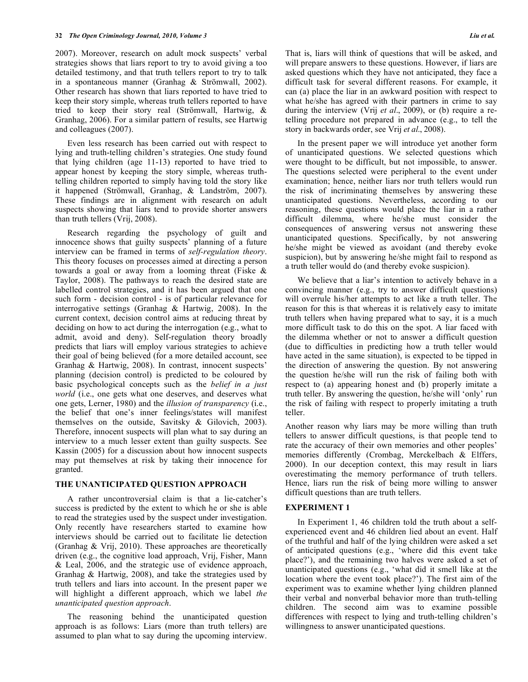2007). Moreover, research on adult mock suspects' verbal strategies shows that liars report to try to avoid giving a too detailed testimony, and that truth tellers report to try to talk in a spontaneous manner (Granhag & Strömwall, 2002). Other research has shown that liars reported to have tried to keep their story simple, whereas truth tellers reported to have tried to keep their story real (Strömwall, Hartwig, & Granhag, 2006). For a similar pattern of results, see Hartwig and colleagues (2007).

 Even less research has been carried out with respect to lying and truth-telling children's strategies. One study found that lying children (age 11-13) reported to have tried to appear honest by keeping the story simple, whereas truthtelling children reported to simply having told the story like it happened (Strömwall, Granhag, & Landström, 2007). These findings are in alignment with research on adult suspects showing that liars tend to provide shorter answers than truth tellers (Vrij, 2008).

 Research regarding the psychology of guilt and innocence shows that guilty suspects' planning of a future interview can be framed in terms of *self-regulation theory*. This theory focuses on processes aimed at directing a person towards a goal or away from a looming threat (Fiske & Taylor, 2008). The pathways to reach the desired state are labelled control strategies, and it has been argued that one such form - decision control - is of particular relevance for interrogative settings (Granhag & Hartwig, 2008). In the current context, decision control aims at reducing threat by deciding on how to act during the interrogation (e.g., what to admit, avoid and deny). Self-regulation theory broadly predicts that liars will employ various strategies to achieve their goal of being believed (for a more detailed account, see Granhag & Hartwig, 2008). In contrast, innocent suspects' planning (decision control) is predicted to be coloured by basic psychological concepts such as the *belief in a just world* (i.e., one gets what one deserves, and deserves what one gets, Lerner, 1980) and the *illusion of transparency* (i.e., the belief that one's inner feelings/states will manifest themselves on the outside, Savitsky & Gilovich, 2003). Therefore, innocent suspects will plan what to say during an interview to a much lesser extent than guilty suspects. See Kassin (2005) for a discussion about how innocent suspects may put themselves at risk by taking their innocence for granted.

### **THE UNANTICIPATED QUESTION APPROACH**

 A rather uncontroversial claim is that a lie-catcher's success is predicted by the extent to which he or she is able to read the strategies used by the suspect under investigation. Only recently have researchers started to examine how interviews should be carried out to facilitate lie detection (Granhag & Vrij, 2010). These approaches are theoretically driven (e.g., the cognitive load approach, Vrij, Fisher, Mann & Leal, 2006, and the strategic use of evidence approach, Granhag & Hartwig, 2008), and take the strategies used by truth tellers and liars into account. In the present paper we will highlight a different approach, which we label *the unanticipated question approach*.

 The reasoning behind the unanticipated question approach is as follows: Liars (more than truth tellers) are assumed to plan what to say during the upcoming interview. That is, liars will think of questions that will be asked, and will prepare answers to these questions. However, if liars are asked questions which they have not anticipated, they face a difficult task for several different reasons. For example, it can (a) place the liar in an awkward position with respect to what he/she has agreed with their partners in crime to say during the interview (Vrij *et al*., 2009), or (b) require a retelling procedure not prepared in advance (e.g., to tell the story in backwards order, see Vrij *et al*., 2008).

 In the present paper we will introduce yet another form of unanticipated questions. We selected questions which were thought to be difficult, but not impossible, to answer. The questions selected were peripheral to the event under examination; hence, neither liars nor truth tellers would run the risk of incriminating themselves by answering these unanticipated questions. Nevertheless, according to our reasoning, these questions would place the liar in a rather difficult dilemma, where he/she must consider the consequences of answering versus not answering these unanticipated questions. Specifically, by not answering he/she might be viewed as avoidant (and thereby evoke suspicion), but by answering he/she might fail to respond as a truth teller would do (and thereby evoke suspicion).

 We believe that a liar's intention to actively behave in a convincing manner (e.g., try to answer difficult questions) will overrule his/her attempts to act like a truth teller. The reason for this is that whereas it is relatively easy to imitate truth tellers when having prepared what to say, it is a much more difficult task to do this on the spot. A liar faced with the dilemma whether or not to answer a difficult question (due to difficulties in predicting how a truth teller would have acted in the same situation), is expected to be tipped in the direction of answering the question. By not answering the question he/she will run the risk of failing both with respect to (a) appearing honest and (b) properly imitate a truth teller. By answering the question, he/she will 'only' run the risk of failing with respect to properly imitating a truth teller.

Another reason why liars may be more willing than truth tellers to answer difficult questions, is that people tend to rate the accuracy of their own memories and other peoples' memories differently (Crombag, Merckelbach & Elffers, 2000). In our deception context, this may result in liars overestimating the memory performance of truth tellers. Hence, liars run the risk of being more willing to answer difficult questions than are truth tellers.

### **EXPERIMENT 1**

 In Experiment 1, 46 children told the truth about a selfexperienced event and 46 children lied about an event. Half of the truthful and half of the lying children were asked a set of anticipated questions (e.g., 'where did this event take place?'), and the remaining two halves were asked a set of unanticipated questions (e.g., 'what did it smell like at the location where the event took place?'). The first aim of the experiment was to examine whether lying children planned their verbal and nonverbal behavior more than truth-telling children. The second aim was to examine possible differences with respect to lying and truth-telling children's willingness to answer unanticipated questions.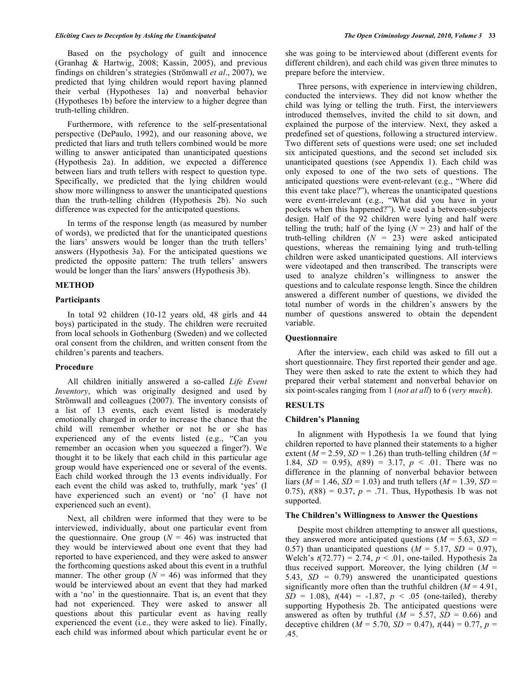Based on the psychology of guilt and innocence (Granhag & Hartwig, 2008; Kassin, 2005), and previous findings on children's strategies (Strömwall *et al*., 2007), we predicted that lying children would report having planned their verbal (Hypotheses 1a) and nonverbal behavior (Hypotheses 1b) before the interview to a higher degree than truth-telling children.

 Furthermore, with reference to the self-presentational perspective (DePaulo, 1992), and our reasoning above, we predicted that liars and truth tellers combined would be more willing to answer anticipated than unanticipated questions (Hypothesis 2a). In addition, we expected a difference between liars and truth tellers with respect to question type. Specifically, we predicted that the lying children would show more willingness to answer the unanticipated questions than the truth-telling children (Hypothesis 2b). No such difference was expected for the anticipated questions.

 In terms of the response length (as measured by number of words), we predicted that for the unanticipated questions the liars' answers would be longer than the truth tellers' answers (Hypothesis 3a). For the anticipated questions we predicted the opposite pattern: The truth tellers' answers would be longer than the liars' answers (Hypothesis 3b).

# **METHOD**

#### **Participants**

 In total 92 children (10-12 years old, 48 girls and 44 boys) participated in the study. The children were recruited from local schools in Gothenburg (Sweden) and we collected oral consent from the children, and written consent from the children's parents and teachers.

#### **Procedure**

 All children initially answered a so-called *Life Event Inventory*, which was originally designed and used by Strömwall and colleagues (2007). The inventory consists of a list of 13 events, each event listed is moderately emotionally charged in order to increase the chance that the child will remember whether or not he or she has experienced any of the events listed (e.g., "Can you remember an occasion when you squeezed a finger?). We thought it to be likely that each child in this particular age group would have experienced one or several of the events. Each child worked through the 13 events individually. For each event the child was asked to, truthfully, mark 'yes' (I have experienced such an event) or 'no' (I have not experienced such an event).

 Next, all children were informed that they were to be interviewed, individually, about one particular event from the questionnaire. One group  $(N = 46)$  was instructed that they would be interviewed about one event that they had reported to have experienced, and they were asked to answer the forthcoming questions asked about this event in a truthful manner. The other group ( $N = 46$ ) was informed that they would be interviewed about an event that they had marked with a 'no' in the questionnaire. That is, an event that they had not experienced. They were asked to answer all questions about this particular event as having really experienced the event (i.e., they were asked to lie). Finally, each child was informed about which particular event he or

she was going to be interviewed about (different events for different children), and each child was given three minutes to prepare before the interview.

 Three persons, with experience in interviewing children, conducted the interviews. They did not know whether the child was lying or telling the truth. First, the interviewers introduced themselves, invited the child to sit down, and explained the purpose of the interview. Next, they asked a predefined set of questions, following a structured interview. Two different sets of questions were used; one set included six anticipated questions, and the second set included six unanticipated questions (see Appendix 1). Each child was only exposed to one of the two sets of questions. The anticipated questions were event-relevant (e.g., "Where did this event take place?"), whereas the unanticipated questions were event-irrelevant (e.g., "What did you have in your pockets when this happened?"). We used a between-subjects design. Half of the 92 children were lying and half were telling the truth; half of the lying  $(N = 23)$  and half of the truth-telling children  $(N = 23)$  were asked anticipated questions, whereas the remaining lying and truth-telling children were asked unanticipated questions. All interviews were videotaped and then transcribed. The transcripts were used to analyze children's willingness to answer the questions and to calculate response length. Since the children answered a different number of questions, we divided the total number of words in the children's answers by the number of questions answered to obtain the dependent variable.

#### **Questionnaire**

 After the interview, each child was asked to fill out a short questionnaire. They first reported their gender and age. They were then asked to rate the extent to which they had prepared their verbal statement and nonverbal behavior on six point-scales ranging from 1 (*not at all*) to 6 (*very much*).

## **RESULTS**

#### **Children's Planning**

 In alignment with Hypothesis 1a we found that lying children reported to have planned their statements to a higher extent ( $M = 2.59$ ,  $SD = 1.26$ ) than truth-telling children ( $M =$ 1.84,  $SD = 0.95$ ,  $t(89) = 3.17$ ,  $p < .01$ . There was no difference in the planning of nonverbal behavior between liars ( $M = 1.46$ ,  $SD = 1.03$ ) and truth tellers ( $M = 1.39$ ,  $SD =$ 0.75),  $t(88) = 0.37$ ,  $p = .71$ . Thus, Hypothesis 1b was not supported.

#### **The Children's Willingness to Answer the Questions**

 Despite most children attempting to answer all questions, they answered more anticipated questions ( $M = 5.63$ ,  $SD =$ 0.57) than unanticipated questions  $(M = 5.17, SD = 0.97)$ , Welch's  $t(72.77) = 2.74$ ,  $p < .01$ , one-tailed. Hypothesis 2a thus received support. Moreover, the lying children  $(M =$ 5.43, *SD* = 0.79) answered the unanticipated questions significantly more often than the truthful children  $(M = 4.91)$ ,  $SD = 1.08$ ,  $t(44) = -1.87$ ,  $p < .05$  (one-tailed), thereby supporting Hypothesis 2b. The anticipated questions were answered as often by truthful ( $M = 5.57$ ,  $SD = 0.66$ ) and deceptive children ( $\dot{M}$  = 5.70, *SD* = 0.47),  $t$ (44) = 0.77, *p* = .45.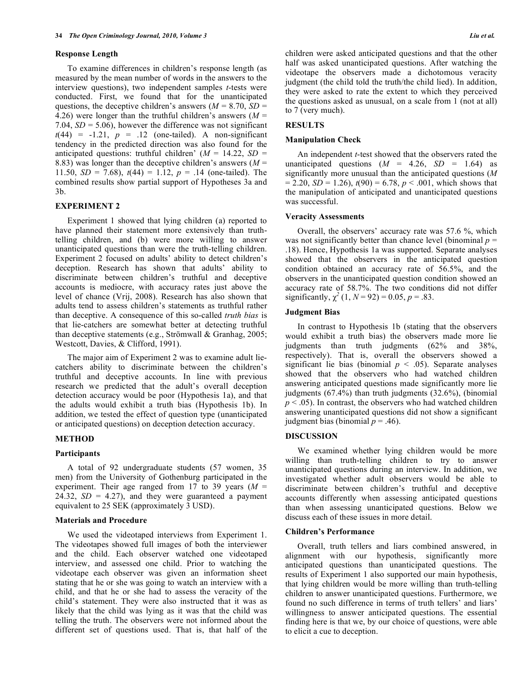#### **Response Length**

 To examine differences in children's response length (as measured by the mean number of words in the answers to the interview questions), two independent samples *t*-tests were conducted. First, we found that for the unanticipated questions, the deceptive children's answers ( $M = 8.70$ ,  $SD =$ 4.26) were longer than the truthful children's answers  $(M =$ 7.04,  $SD = 5.06$ ), however the difference was not significant  $t(44) = -1.21$ ,  $p = .12$  (one-tailed). A non-significant tendency in the predicted direction was also found for the anticipated questions: truthful children'  $(M = 14.22, SD =$ 8.83) was longer than the deceptive children's answers (*M* = 11.50,  $SD = 7.68$ ),  $t(44) = 1.12$ ,  $p = .14$  (one-tailed). The combined results show partial support of Hypotheses 3a and 3b.

## **EXPERIMENT 2**

 Experiment 1 showed that lying children (a) reported to have planned their statement more extensively than truthtelling children, and (b) were more willing to answer unanticipated questions than were the truth-telling children. Experiment 2 focused on adults' ability to detect children's deception. Research has shown that adults' ability to discriminate between children's truthful and deceptive accounts is mediocre, with accuracy rates just above the level of chance (Vrij, 2008). Research has also shown that adults tend to assess children's statements as truthful rather than deceptive. A consequence of this so-called *truth bias* is that lie-catchers are somewhat better at detecting truthful than deceptive statements (e.g., Strömwall & Granhag, 2005; Westcott, Davies, & Clifford, 1991).

 The major aim of Experiment 2 was to examine adult liecatchers ability to discriminate between the children's truthful and deceptive accounts. In line with previous research we predicted that the adult's overall deception detection accuracy would be poor (Hypothesis 1a), and that the adults would exhibit a truth bias (Hypothesis 1b). In addition, we tested the effect of question type (unanticipated or anticipated questions) on deception detection accuracy.

### **METHOD**

## **Participants**

 A total of 92 undergraduate students (57 women, 35 men) from the University of Gothenburg participated in the experiment. Their age ranged from 17 to 39 years  $(M =$ 24.32,  $SD = 4.27$ ), and they were guaranteed a payment equivalent to 25 SEK (approximately 3 USD).

## **Materials and Procedure**

 We used the videotaped interviews from Experiment 1. The videotapes showed full images of both the interviewer and the child. Each observer watched one videotaped interview, and assessed one child. Prior to watching the videotape each observer was given an information sheet stating that he or she was going to watch an interview with a child, and that he or she had to assess the veracity of the child's statement. They were also instructed that it was as likely that the child was lying as it was that the child was telling the truth. The observers were not informed about the different set of questions used. That is, that half of the

children were asked anticipated questions and that the other half was asked unanticipated questions. After watching the videotape the observers made a dichotomous veracity judgment (the child told the truth/the child lied). In addition, they were asked to rate the extent to which they perceived the questions asked as unusual, on a scale from 1 (not at all) to 7 (very much).

### **RESULTS**

### **Manipulation Check**

 An independent *t*-test showed that the observers rated the unanticipated questions  $(M = 4.26, SD = 1.64)$  as significantly more unusual than the anticipated questions (*M*  $= 2.20$ , *SD* = 1.26),  $t(90) = 6.78$ ,  $p < .001$ , which shows that the manipulation of anticipated and unanticipated questions was successful.

## **Veracity Assessments**

 Overall, the observers' accuracy rate was 57.6 %, which was not significantly better than chance level (binominal  $p =$ .18). Hence, Hypothesis 1a was supported. Separate analyses showed that the observers in the anticipated question condition obtained an accuracy rate of 56.5%, and the observers in the unanticipated question condition showed an accuracy rate of 58.7%. The two conditions did not differ significantly,  $\chi^2$  (1,  $N = 92$ ) = 0.05,  $p = .83$ .

## **Judgment Bias**

 In contrast to Hypothesis 1b (stating that the observers would exhibit a truth bias) the observers made more lie judgments than truth judgments (62% and 38%, respectively). That is, overall the observers showed a significant lie bias (binomial  $p < .05$ ). Separate analyses showed that the observers who had watched children answering anticipated questions made significantly more lie judgments (67.4%) than truth judgments (32.6%), (binomial  $p < .05$ ). In contrast, the observers who had watched children answering unanticipated questions did not show a significant judgment bias (binomial *p* = .46).

### **DISCUSSION**

 We examined whether lying children would be more willing than truth-telling children to try to answer unanticipated questions during an interview. In addition, we investigated whether adult observers would be able to discriminate between children's truthful and deceptive accounts differently when assessing anticipated questions than when assessing unanticipated questions. Below we discuss each of these issues in more detail.

## **Children's Performance**

 Overall, truth tellers and liars combined answered, in alignment with our hypothesis, significantly more anticipated questions than unanticipated questions. The results of Experiment 1 also supported our main hypothesis, that lying children would be more willing than truth-telling children to answer unanticipated questions. Furthermore, we found no such difference in terms of truth tellers' and liars' willingness to answer anticipated questions. The essential finding here is that we, by our choice of questions, were able to elicit a cue to deception.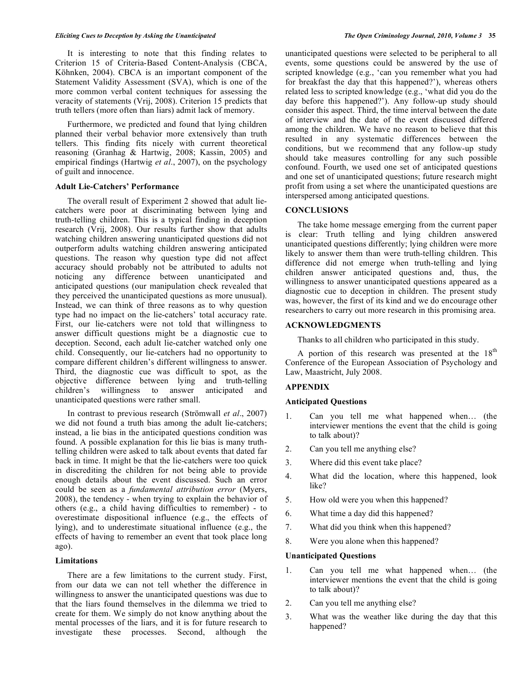It is interesting to note that this finding relates to Criterion 15 of Criteria-Based Content-Analysis (CBCA, Köhnken, 2004). CBCA is an important component of the Statement Validity Assessment (SVA), which is one of the more common verbal content techniques for assessing the veracity of statements (Vrij, 2008). Criterion 15 predicts that truth tellers (more often than liars) admit lack of memory.

 Furthermore, we predicted and found that lying children planned their verbal behavior more extensively than truth tellers. This finding fits nicely with current theoretical reasoning (Granhag & Hartwig, 2008; Kassin, 2005) and empirical findings (Hartwig *et al*., 2007), on the psychology of guilt and innocence.

#### **Adult Lie-Catchers' Performance**

 The overall result of Experiment 2 showed that adult liecatchers were poor at discriminating between lying and truth-telling children. This is a typical finding in deception research (Vrij, 2008). Our results further show that adults watching children answering unanticipated questions did not outperform adults watching children answering anticipated questions. The reason why question type did not affect accuracy should probably not be attributed to adults not noticing any difference between unanticipated and anticipated questions (our manipulation check revealed that they perceived the unanticipated questions as more unusual). Instead, we can think of three reasons as to why question type had no impact on the lie-catchers' total accuracy rate. First, our lie-catchers were not told that willingness to answer difficult questions might be a diagnostic cue to deception. Second, each adult lie-catcher watched only one child. Consequently, our lie-catchers had no opportunity to compare different children's different willingness to answer. Third, the diagnostic cue was difficult to spot, as the objective difference between lying and truth-telling children's willingness to answer anticipated and unanticipated questions were rather small.

 In contrast to previous research (Strömwall *et al*., 2007) we did not found a truth bias among the adult lie-catchers; instead, a lie bias in the anticipated questions condition was found. A possible explanation for this lie bias is many truthtelling children were asked to talk about events that dated far back in time. It might be that the lie-catchers were too quick in discrediting the children for not being able to provide enough details about the event discussed. Such an error could be seen as a *fundamental attribution error* (Myers, 2008), the tendency - when trying to explain the behavior of others (e.g., a child having difficulties to remember) - to overestimate dispositional influence (e.g., the effects of lying), and to underestimate situational influence (e.g., the effects of having to remember an event that took place long ago).

#### **Limitations**

 There are a few limitations to the current study. First, from our data we can not tell whether the difference in willingness to answer the unanticipated questions was due to that the liars found themselves in the dilemma we tried to create for them. We simply do not know anything about the mental processes of the liars, and it is for future research to investigate these processes. Second, although the

unanticipated questions were selected to be peripheral to all events, some questions could be answered by the use of scripted knowledge (e.g., 'can you remember what you had for breakfast the day that this happened?'), whereas others related less to scripted knowledge (e.g., 'what did you do the day before this happened?'). Any follow-up study should consider this aspect. Third, the time interval between the date of interview and the date of the event discussed differed among the children. We have no reason to believe that this resulted in any systematic differences between the conditions, but we recommend that any follow-up study should take measures controlling for any such possible confound. Fourth, we used one set of anticipated questions and one set of unanticipated questions; future research might profit from using a set where the unanticipated questions are interspersed among anticipated questions.

## **CONCLUSIONS**

 The take home message emerging from the current paper is clear: Truth telling and lying children answered unanticipated questions differently; lying children were more likely to answer them than were truth-telling children. This difference did not emerge when truth-telling and lying children answer anticipated questions and, thus, the willingness to answer unanticipated questions appeared as a diagnostic cue to deception in children. The present study was, however, the first of its kind and we do encourage other researchers to carry out more research in this promising area.

### **ACKNOWLEDGMENTS**

Thanks to all children who participated in this study.

A portion of this research was presented at the  $18<sup>th</sup>$ Conference of the European Association of Psychology and Law, Maastricht, July 2008.

### **APPENDIX**

#### **Anticipated Questions**

- 1. Can you tell me what happened when… (the interviewer mentions the event that the child is going to talk about)?
- 2. Can you tell me anything else?
- 3. Where did this event take place?
- 4. What did the location, where this happened, look like?
- 5. How old were you when this happened?
- 6. What time a day did this happened?
- 7. What did you think when this happened?
- 8. Were you alone when this happened?

#### **Unanticipated Questions**

- 1. Can you tell me what happened when… (the interviewer mentions the event that the child is going to talk about)?
- 2. Can you tell me anything else?
- 3. What was the weather like during the day that this happened?